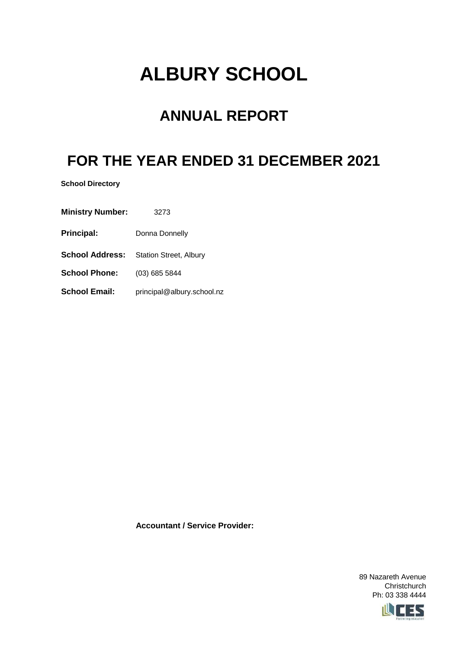# **ALBURY SCHOOL**

## **ANNUAL REPORT**

## **FOR THE YEAR ENDED 31 DECEMBER 2021**

**School Directory**

**Ministry Number:** 3273

**Principal:** Donna Donnelly

**School Address:** Station Street, Albury

**School Phone:** (03) 685 5844

School Email: principal@albury.school.nz

**Accountant / Service Provider:**

89 Nazareth Avenue **Christchurch** Ph: 03 338 4444

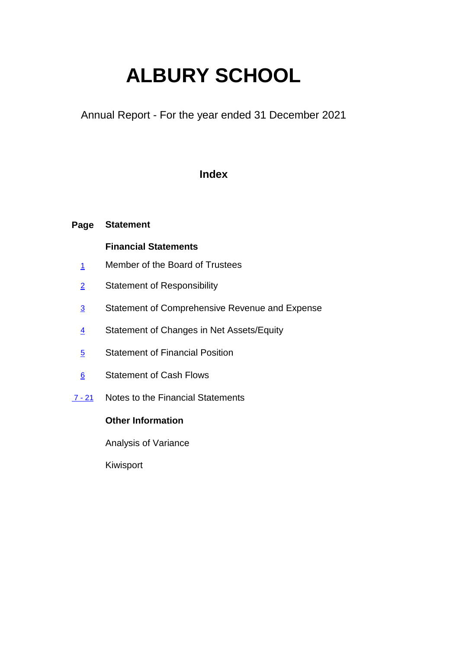# **ALBURY SCHOOL**

Annual Report - For the year ended 31 December 2021

### **Index**

#### **Page Statement**

### **Financial Statements**

- 1 Member of the Board of Trustees
- 2 Statement of Responsibility
- 3 Statement of Comprehensive Revenue and Expense
- 4 Statement of Changes in Net Assets/Equity
- 5 Statement of Financial Position
- 6 Statement of Cash Flows
- 7 21 Notes to the Financial Statements

### **Other Information**

Analysis of Variance

Kiwisport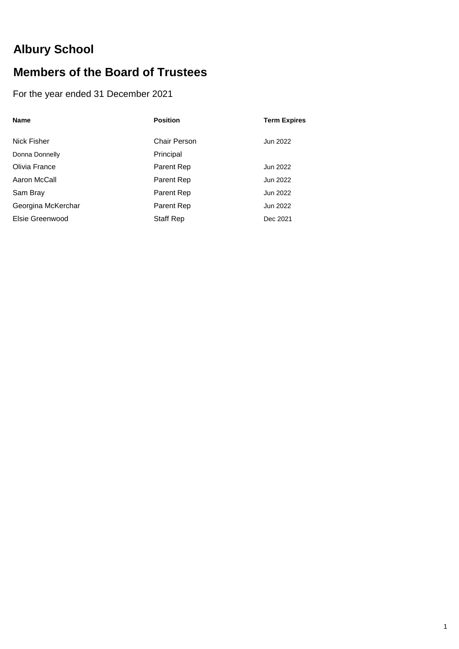## **Albury School**

### **Members of the Board of Trustees**

### For the year ended 31 December 2021

| <b>Name</b>        | <b>Position</b> | <b>Term Expires</b> |
|--------------------|-----------------|---------------------|
|                    |                 |                     |
| Nick Fisher        | Chair Person    | Jun 2022            |
| Donna Donnelly     | Principal       |                     |
| Olivia France      | Parent Rep      | Jun 2022            |
| Aaron McCall       | Parent Rep      | Jun 2022            |
| Sam Bray           | Parent Rep      | Jun 2022            |
| Georgina McKerchar | Parent Rep      | Jun 2022            |
| Elsie Greenwood    | Staff Rep       | Dec 2021            |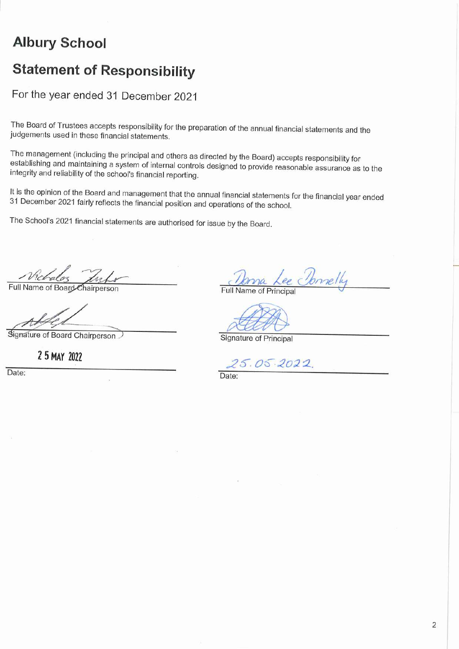## **Albury School**

## **Statement of Responsibility**

For the year ended 31 December 2021

The Board of Trustees accepts responsibility for the preparation of the annual financial statements and the judgements used in these financial statements.

The management (including the principal and others as directed by the Board) accepts responsibility for establishing and maintaining a system of internal controls designed to provide reasonable assurance as to the integrity and reliability of the school's financial reporting.

It is the opinion of the Board and management that the annual financial statements for the financial year ended 31 December 2021 fairly reflects the financial position and operations of the school.

The School's 2021 financial statements are authorised for issue by the Board.

Full Name of Board Chairperson

Signature of Board Chairperson

2 5 MAY 2022

Date:

melly

Full Name of Principal

Signature of Principal

25.05.2022

Date: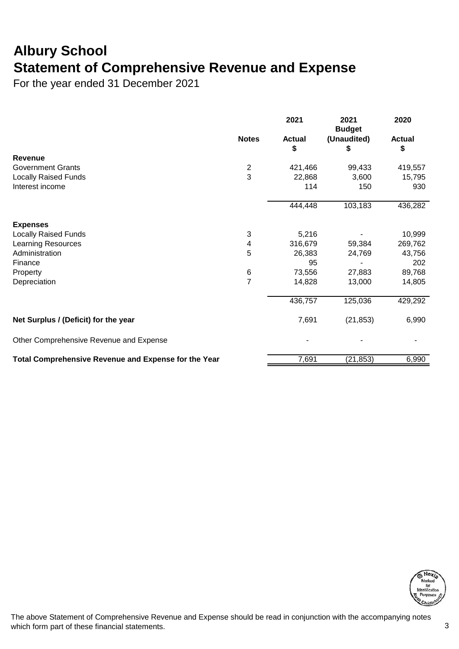## **Albury School Statement of Comprehensive Revenue and Expense**

For the year ended 31 December 2021

|              | 2021                                  | 2021<br><b>Budget</b>                       | 2020                                          |
|--------------|---------------------------------------|---------------------------------------------|-----------------------------------------------|
| <b>Notes</b> | <b>Actual</b>                         | (Unaudited)                                 | <b>Actual</b>                                 |
|              |                                       |                                             | \$                                            |
|              |                                       |                                             | 419,557                                       |
|              |                                       |                                             | 15,795                                        |
|              | 114                                   | 150                                         | 930                                           |
|              |                                       |                                             | 436,282                                       |
|              |                                       |                                             |                                               |
|              |                                       |                                             |                                               |
| 3            | 5,216                                 |                                             | 10,999                                        |
| 4            | 316,679                               | 59,384                                      | 269,762                                       |
| 5            | 26,383                                | 24,769                                      | 43,756                                        |
|              | 95                                    |                                             | 202                                           |
| $\,6$        | 73,556                                | 27,883                                      | 89,768                                        |
|              | 14,828                                | 13,000                                      | 14,805                                        |
|              | 436,757                               | 125,036                                     | 429,292                                       |
|              | 7,691                                 | (21, 853)                                   | 6,990                                         |
|              |                                       |                                             |                                               |
|              |                                       |                                             | 6,990                                         |
|              | $\overline{2}$<br>3<br>$\overline{7}$ | \$<br>421,466<br>22,868<br>444,448<br>7,691 | \$<br>99,433<br>3,600<br>103,183<br>(21, 853) |



The above Statement of Comprehensive Revenue and Expense should be read in conjunction with the accompanying notes which form part of these financial statements. 3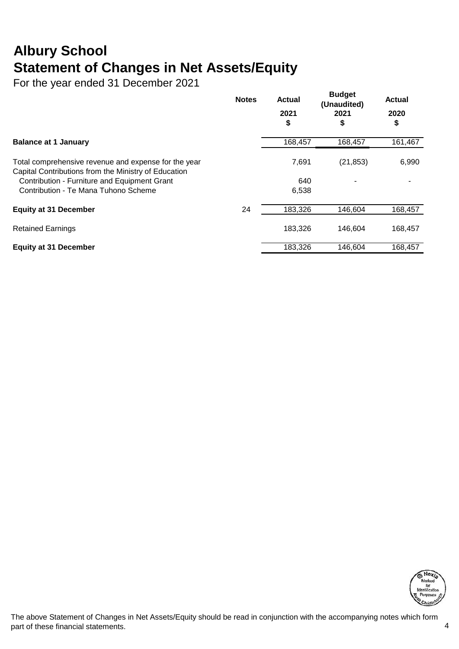## **Albury School Statement of Changes in Net Assets/Equity**

For the year ended 31 December 2021

|                                                                                                              | <b>Notes</b> | <b>Actual</b> | <b>Budget</b><br>(Unaudited) | <b>Actual</b> |
|--------------------------------------------------------------------------------------------------------------|--------------|---------------|------------------------------|---------------|
|                                                                                                              |              | 2021<br>\$    | 2021<br>\$                   | 2020<br>\$    |
| <b>Balance at 1 January</b>                                                                                  |              | 168,457       | 168,457                      | 161,467       |
| Total comprehensive revenue and expense for the year<br>Capital Contributions from the Ministry of Education |              | 7,691         | (21, 853)                    | 6,990         |
| Contribution - Furniture and Equipment Grant<br>Contribution - Te Mana Tuhono Scheme                         |              | 640<br>6,538  |                              |               |
| <b>Equity at 31 December</b>                                                                                 | 24           | 183,326       | 146.604                      | 168,457       |
| <b>Retained Earnings</b>                                                                                     |              | 183.326       | 146.604                      | 168,457       |
| <b>Equity at 31 December</b>                                                                                 |              | 183,326       | 146,604                      | 168,457       |



The above Statement of Changes in Net Assets/Equity should be read in conjunction with the accompanying notes which form part of these financial statements. 4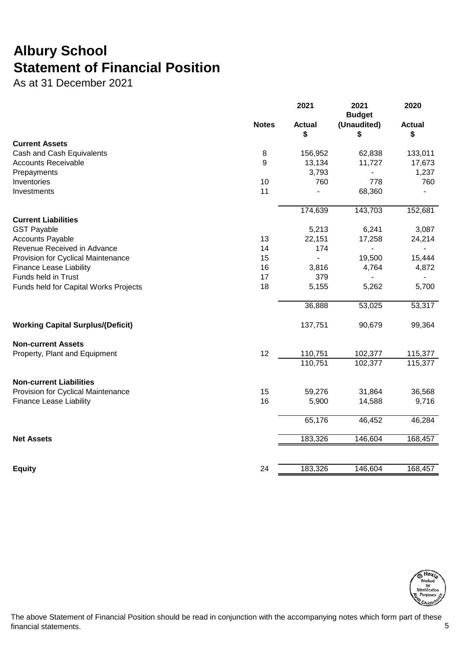## **Albury School Statement of Financial Position**

As at 31 December 2021

|                                          |              | 2021                | 2021<br><b>Budget</b> | 2020                |
|------------------------------------------|--------------|---------------------|-----------------------|---------------------|
|                                          | <b>Notes</b> | <b>Actual</b><br>\$ | (Unaudited)<br>\$     | <b>Actual</b><br>\$ |
| <b>Current Assets</b>                    |              |                     |                       |                     |
| Cash and Cash Equivalents                | 8            | 156,952             | 62,838                | 133,011             |
| <b>Accounts Receivable</b>               | 9            | 13,134              | 11,727                | 17,673              |
| Prepayments                              |              | 3,793               |                       | 1,237               |
| Inventories                              | 10           | 760                 | 778                   | 760                 |
| Investments                              | 11           |                     | 68,360                |                     |
|                                          |              | 174,639             | 143,703               | 152,681             |
| <b>Current Liabilities</b>               |              |                     |                       |                     |
| <b>GST Payable</b>                       |              | 5,213               | 6,241                 | 3,087               |
| <b>Accounts Payable</b>                  | 13           | 22,151              | 17,258                | 24,214              |
| Revenue Received in Advance              | 14           | 174                 |                       |                     |
| Provision for Cyclical Maintenance       | 15           |                     | 19,500                | 15,444              |
| <b>Finance Lease Liability</b>           | 16           | 3,816               | 4,764                 | 4,872               |
| Funds held in Trust                      | 17           | 379                 |                       |                     |
| Funds held for Capital Works Projects    | 18           | 5,155               | 5,262                 | 5,700               |
|                                          |              | 36,888              | 53,025                | 53,317              |
| <b>Working Capital Surplus/(Deficit)</b> |              | 137,751             | 90,679                | 99,364              |
| <b>Non-current Assets</b>                |              |                     |                       |                     |
| Property, Plant and Equipment            | 12           | 110,751             | 102,377               | 115,377             |
|                                          |              | 110,751             | 102,377               | 115,377             |
| <b>Non-current Liabilities</b>           |              |                     |                       |                     |
| Provision for Cyclical Maintenance       | 15           | 59,276              | 31,864                | 36,568              |
| <b>Finance Lease Liability</b>           | 16           | 5,900               | 14,588                | 9,716               |
|                                          |              | 65,176              | 46,452                | 46,284              |
| <b>Net Assets</b>                        |              | 183,326             | 146,604               | 168,457             |
|                                          |              |                     |                       |                     |
| <b>Equity</b>                            | 24           | 183,326             | 146,604               | 168,457             |



The above Statement of Financial Position should be read in conjunction with the accompanying notes which form part of these financial statements. 5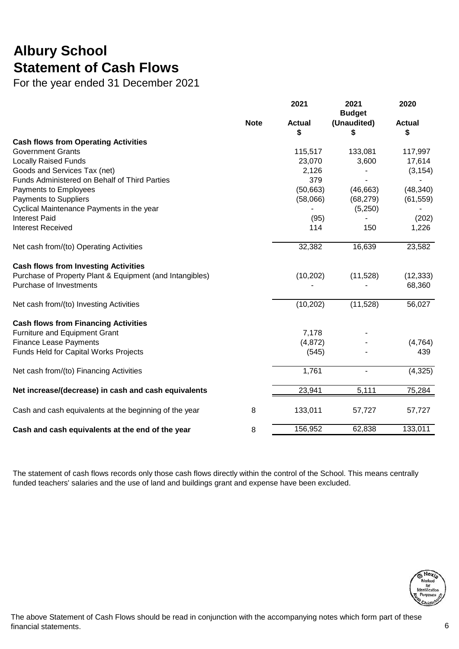## **Albury School Statement of Cash Flows**

For the year ended 31 December 2021

|                                                          |             | 2021                | 2021<br><b>Budget</b> | 2020                |
|----------------------------------------------------------|-------------|---------------------|-----------------------|---------------------|
|                                                          | <b>Note</b> | <b>Actual</b><br>\$ | (Unaudited)<br>S      | <b>Actual</b><br>\$ |
| <b>Cash flows from Operating Activities</b>              |             |                     |                       |                     |
| <b>Government Grants</b>                                 |             | 115,517             | 133,081               | 117,997             |
| <b>Locally Raised Funds</b>                              |             | 23,070              | 3,600                 | 17,614              |
| Goods and Services Tax (net)                             |             | 2,126               |                       | (3, 154)            |
| Funds Administered on Behalf of Third Parties            |             | 379                 |                       |                     |
| Payments to Employees                                    |             | (50,663)            | (46, 663)             | (48, 340)           |
| Payments to Suppliers                                    |             | (58,066)            | (68, 279)             | (61, 559)           |
| Cyclical Maintenance Payments in the year                |             |                     | (5,250)               |                     |
| <b>Interest Paid</b>                                     |             | (95)                |                       | (202)               |
| <b>Interest Received</b>                                 |             | 114                 | 150                   | 1,226               |
| Net cash from/(to) Operating Activities                  |             | 32,382              | 16,639                | 23,582              |
| <b>Cash flows from Investing Activities</b>              |             |                     |                       |                     |
| Purchase of Property Plant & Equipment (and Intangibles) |             | (10, 202)           | (11,528)              | (12, 333)           |
| Purchase of Investments                                  |             |                     |                       | 68,360              |
| Net cash from/(to) Investing Activities                  |             | (10, 202)           | (11,528)              | 56,027              |
| <b>Cash flows from Financing Activities</b>              |             |                     |                       |                     |
| Furniture and Equipment Grant                            |             | 7,178               |                       |                     |
| <b>Finance Lease Payments</b>                            |             | (4, 872)            |                       | (4, 764)            |
| Funds Held for Capital Works Projects                    |             | (545)               |                       | 439                 |
| Net cash from/(to) Financing Activities                  |             | 1,761               | $\blacksquare$        | (4,325)             |
| Net increase/(decrease) in cash and cash equivalents     |             | 23,941              | 5,111                 | 75,284              |
| Cash and cash equivalents at the beginning of the year   | 8           | 133,011             | 57,727                | 57,727              |
| Cash and cash equivalents at the end of the year         | 8           | 156,952             | 62,838                | 133,011             |

The statement of cash flows records only those cash flows directly within the control of the School. This means centrally funded teachers' salaries and the use of land and buildings grant and expense have been excluded.

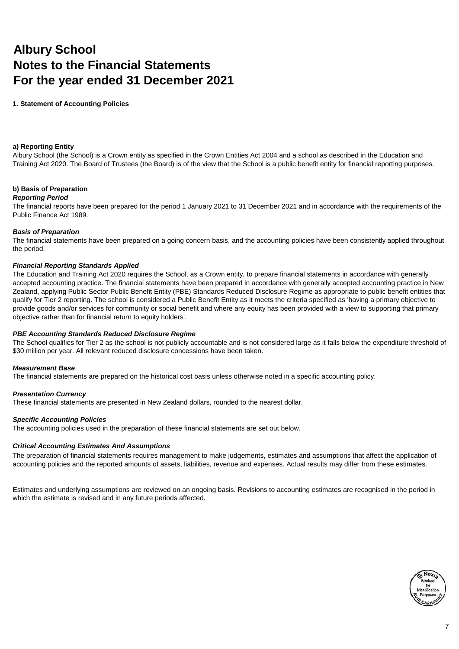## **Albury School Notes to the Financial Statements For the year ended 31 December 2021**

**1. Statement of Accounting Policies**

#### **a) Reporting Entity**

Albury School (the School) is a Crown entity as specified in the Crown Entities Act 2004 and a school as described in the Education and Training Act 2020. The Board of Trustees (the Board) is of the view that the School is a public benefit entity for financial reporting purposes.

#### **b) Basis of Preparation**

#### *Reporting Period*

The financial reports have been prepared for the period 1 January 2021 to 31 December 2021 and in accordance with the requirements of the Public Finance Act 1989.

#### *Basis of Preparation*

The financial statements have been prepared on a going concern basis, and the accounting policies have been consistently applied throughout the period.

#### *Financial Reporting Standards Applied*

The Education and Training Act 2020 requires the School, as a Crown entity, to prepare financial statements in accordance with generally accepted accounting practice. The financial statements have been prepared in accordance with generally accepted accounting practice in New Zealand, applying Public Sector Public Benefit Entity (PBE) Standards Reduced Disclosure Regime as appropriate to public benefit entities that qualify for Tier 2 reporting. The school is considered a Public Benefit Entity as it meets the criteria specified as 'having a primary objective to provide goods and/or services for community or social benefit and where any equity has been provided with a view to supporting that primary objective rather than for financial return to equity holders'.

#### *PBE Accounting Standards Reduced Disclosure Regime*

The School qualifies for Tier 2 as the school is not publicly accountable and is not considered large as it falls below the expenditure threshold of \$30 million per year. All relevant reduced disclosure concessions have been taken.

#### *Measurement Base*

The financial statements are prepared on the historical cost basis unless otherwise noted in a specific accounting policy.

#### *Presentation Currency*

These financial statements are presented in New Zealand dollars, rounded to the nearest dollar.

#### *Specific Accounting Policies*

The accounting policies used in the preparation of these financial statements are set out below.

#### *Critical Accounting Estimates And Assumptions*

The preparation of financial statements requires management to make judgements, estimates and assumptions that affect the application of accounting policies and the reported amounts of assets, liabilities, revenue and expenses. Actual results may differ from these estimates.

Estimates and underlying assumptions are reviewed on an ongoing basis. Revisions to accounting estimates are recognised in the period in which the estimate is revised and in any future periods affected.

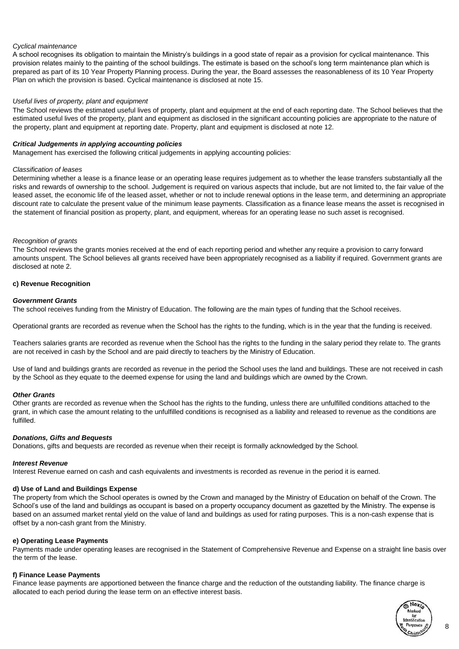#### *Cyclical maintenance*

A school recognises its obligation to maintain the Ministry's buildings in a good state of repair as a provision for cyclical maintenance. This provision relates mainly to the painting of the school buildings. The estimate is based on the school's long term maintenance plan which is prepared as part of its 10 Year Property Planning process. During the year, the Board assesses the reasonableness of its 10 Year Property Plan on which the provision is based. Cyclical maintenance is disclosed at note 15.

#### *Useful lives of property, plant and equipment*

The School reviews the estimated useful lives of property, plant and equipment at the end of each reporting date. The School believes that the estimated useful lives of the property, plant and equipment as disclosed in the significant accounting policies are appropriate to the nature of the property, plant and equipment at reporting date. Property, plant and equipment is disclosed at note 12.

#### *Critical Judgements in applying accounting policies*

Management has exercised the following critical judgements in applying accounting policies:

#### *Classification of leases*

Determining whether a lease is a finance lease or an operating lease requires judgement as to whether the lease transfers substantially all the risks and rewards of ownership to the school. Judgement is required on various aspects that include, but are not limited to, the fair value of the leased asset, the economic life of the leased asset, whether or not to include renewal options in the lease term, and determining an appropriate discount rate to calculate the present value of the minimum lease payments. Classification as a finance lease means the asset is recognised in the statement of financial position as property, plant, and equipment, whereas for an operating lease no such asset is recognised.

#### *Recognition of grants*

The School reviews the grants monies received at the end of each reporting period and whether any require a provision to carry forward amounts unspent. The School believes all grants received have been appropriately recognised as a liability if required. Government grants are disclosed at note 2.

#### **c) Revenue Recognition**

#### *Government Grants*

The school receives funding from the Ministry of Education. The following are the main types of funding that the School receives.

Operational grants are recorded as revenue when the School has the rights to the funding, which is in the year that the funding is received.

Teachers salaries grants are recorded as revenue when the School has the rights to the funding in the salary period they relate to. The grants are not received in cash by the School and are paid directly to teachers by the Ministry of Education.

Use of land and buildings grants are recorded as revenue in the period the School uses the land and buildings. These are not received in cash by the School as they equate to the deemed expense for using the land and buildings which are owned by the Crown.

#### *Other Grants*

Other grants are recorded as revenue when the School has the rights to the funding, unless there are unfulfilled conditions attached to the grant, in which case the amount relating to the unfulfilled conditions is recognised as a liability and released to revenue as the conditions are fulfilled.

#### *Donations, Gifts and Bequests*

Donations, gifts and bequests are recorded as revenue when their receipt is formally acknowledged by the School.

#### *Interest Revenue*

Interest Revenue earned on cash and cash equivalents and investments is recorded as revenue in the period it is earned.

#### **d) Use of Land and Buildings Expense**

The property from which the School operates is owned by the Crown and managed by the Ministry of Education on behalf of the Crown. The School's use of the land and buildings as occupant is based on a property occupancy document as gazetted by the Ministry. The expense is based on an assumed market rental yield on the value of land and buildings as used for rating purposes. This is a non-cash expense that is offset by a non-cash grant from the Ministry.

#### **e) Operating Lease Payments**

Payments made under operating leases are recognised in the Statement of Comprehensive Revenue and Expense on a straight line basis over the term of the lease.

#### **f) Finance Lease Payments**

Finance lease payments are apportioned between the finance charge and the reduction of the outstanding liability. The finance charge is allocated to each period during the lease term on an effective interest basis.

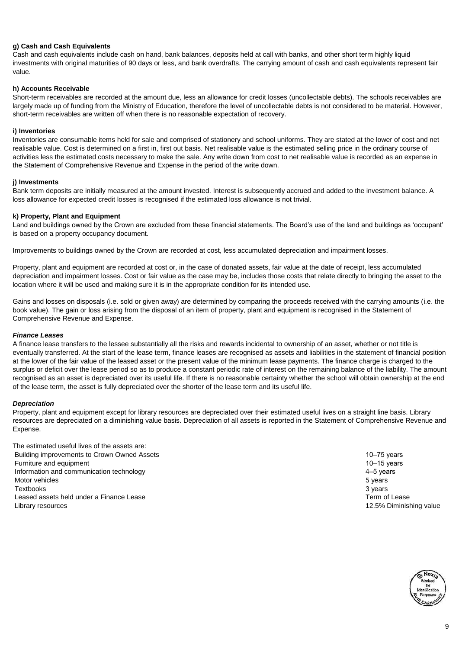#### **g) Cash and Cash Equivalents**

Cash and cash equivalents include cash on hand, bank balances, deposits held at call with banks, and other short term highly liquid investments with original maturities of 90 days or less, and bank overdrafts. The carrying amount of cash and cash equivalents represent fair value.

#### **h) Accounts Receivable**

Short-term receivables are recorded at the amount due, less an allowance for credit losses (uncollectable debts). The schools receivables are largely made up of funding from the Ministry of Education, therefore the level of uncollectable debts is not considered to be material. However, short-term receivables are written off when there is no reasonable expectation of recovery.

#### **i) Inventories**

Inventories are consumable items held for sale and comprised of stationery and school uniforms. They are stated at the lower of cost and net realisable value. Cost is determined on a first in, first out basis. Net realisable value is the estimated selling price in the ordinary course of activities less the estimated costs necessary to make the sale. Any write down from cost to net realisable value is recorded as an expense in the Statement of Comprehensive Revenue and Expense in the period of the write down.

#### **j) Investments**

Bank term deposits are initially measured at the amount invested. Interest is subsequently accrued and added to the investment balance. A loss allowance for expected credit losses is recognised if the estimated loss allowance is not trivial.

#### **k) Property, Plant and Equipment**

Land and buildings owned by the Crown are excluded from these financial statements. The Board's use of the land and buildings as 'occupant' is based on a property occupancy document.

Improvements to buildings owned by the Crown are recorded at cost, less accumulated depreciation and impairment losses.

Property, plant and equipment are recorded at cost or, in the case of donated assets, fair value at the date of receipt, less accumulated depreciation and impairment losses. Cost or fair value as the case may be, includes those costs that relate directly to bringing the asset to the location where it will be used and making sure it is in the appropriate condition for its intended use.

Gains and losses on disposals (i.e. sold or given away) are determined by comparing the proceeds received with the carrying amounts (i.e. the book value). The gain or loss arising from the disposal of an item of property, plant and equipment is recognised in the Statement of Comprehensive Revenue and Expense.

#### *Finance Leases*

A finance lease transfers to the lessee substantially all the risks and rewards incidental to ownership of an asset, whether or not title is eventually transferred. At the start of the lease term, finance leases are recognised as assets and liabilities in the statement of financial position at the lower of the fair value of the leased asset or the present value of the minimum lease payments. The finance charge is charged to the surplus or deficit over the lease period so as to produce a constant periodic rate of interest on the remaining balance of the liability. The amount recognised as an asset is depreciated over its useful life. If there is no reasonable certainty whether the school will obtain ownership at the end of the lease term, the asset is fully depreciated over the shorter of the lease term and its useful life.

#### *Depreciation*

Property, plant and equipment except for library resources are depreciated over their estimated useful lives on a straight line basis. Library resources are depreciated on a diminishing value basis. Depreciation of all assets is reported in the Statement of Comprehensive Revenue and Expense.

The estimated useful lives of the assets are: Building improvements to Crown Owned Assets 10–75 years 10–75 years 10–75 years Furniture and equipment 10–15 years 10–15 years 10–15 years 10–15 years 10–15 years 10–16 years 10–16 years 10–16 years 10–16 years 10–16 years 10–16 years 10–16 years 10–16 years 10–16 years 10–16 years 10–16 years 10–16 Information and communication technology 4–5 years Motor vehicles 5 years 3 3 years 3 years 3 years 3 years 3 years 3 years 3 years 3 years 3 years 3 years 3 years 3 years 3 years 3 years 3 years 3 years 3 years 3 years 3 years 3 years 3 years 3 years 3 years 3 years 3 yea Textbooks 3 years 3 years and the state of the state of the state of the state of the state of the state of the state of the state of the state of the state of the state of the state of the state of the state of the state Leased assets held under a Finance Lease Term of Lease Term of Lease Term of Lease Library resources 12.5% Diminishing value

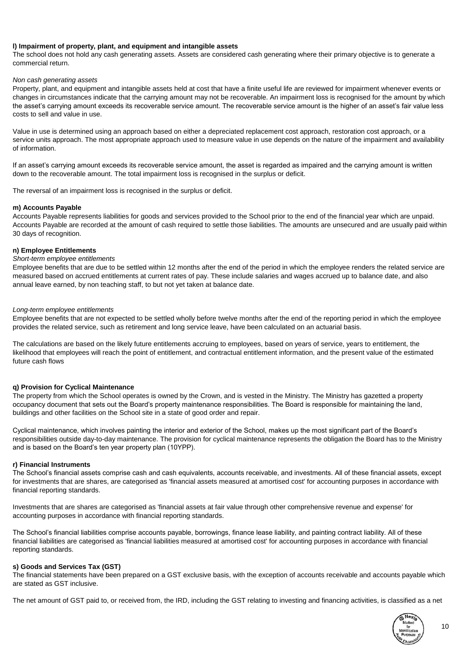#### **l) Impairment of property, plant, and equipment and intangible assets**

The school does not hold any cash generating assets. Assets are considered cash generating where their primary objective is to generate a commercial return.

#### *Non cash generating assets*

Property, plant, and equipment and intangible assets held at cost that have a finite useful life are reviewed for impairment whenever events or changes in circumstances indicate that the carrying amount may not be recoverable. An impairment loss is recognised for the amount by which the asset's carrying amount exceeds its recoverable service amount. The recoverable service amount is the higher of an asset's fair value less costs to sell and value in use.

Value in use is determined using an approach based on either a depreciated replacement cost approach, restoration cost approach, or a service units approach. The most appropriate approach used to measure value in use depends on the nature of the impairment and availability of information.

If an asset's carrying amount exceeds its recoverable service amount, the asset is regarded as impaired and the carrying amount is written down to the recoverable amount. The total impairment loss is recognised in the surplus or deficit.

The reversal of an impairment loss is recognised in the surplus or deficit.

#### **m) Accounts Payable**

Accounts Payable represents liabilities for goods and services provided to the School prior to the end of the financial year which are unpaid. Accounts Payable are recorded at the amount of cash required to settle those liabilities. The amounts are unsecured and are usually paid within 30 days of recognition.

#### **n) Employee Entitlements**

#### *Short-term employee entitlements*

Employee benefits that are due to be settled within 12 months after the end of the period in which the employee renders the related service are measured based on accrued entitlements at current rates of pay. These include salaries and wages accrued up to balance date, and also annual leave earned, by non teaching staff, to but not yet taken at balance date.

#### *Long-term employee entitlements*

Employee benefits that are not expected to be settled wholly before twelve months after the end of the reporting period in which the employee provides the related service, such as retirement and long service leave, have been calculated on an actuarial basis.

The calculations are based on the likely future entitlements accruing to employees, based on years of service, years to entitlement, the likelihood that employees will reach the point of entitlement, and contractual entitlement information, and the present value of the estimated future cash flows

#### **q) Provision for Cyclical Maintenance**

The property from which the School operates is owned by the Crown, and is vested in the Ministry. The Ministry has gazetted a property occupancy document that sets out the Board's property maintenance responsibilities. The Board is responsible for maintaining the land, buildings and other facilities on the School site in a state of good order and repair.

Cyclical maintenance, which involves painting the interior and exterior of the School, makes up the most significant part of the Board's responsibilities outside day-to-day maintenance. The provision for cyclical maintenance represents the obligation the Board has to the Ministry and is based on the Board's ten year property plan (10YPP).

#### **r) Financial Instruments**

The School's financial assets comprise cash and cash equivalents, accounts receivable, and investments. All of these financial assets, except for investments that are shares, are categorised as 'financial assets measured at amortised cost' for accounting purposes in accordance with financial reporting standards.

Investments that are shares are categorised as 'financial assets at fair value through other comprehensive revenue and expense' for accounting purposes in accordance with financial reporting standards.

The School's financial liabilities comprise accounts payable, borrowings, finance lease liability, and painting contract liability. All of these financial liabilities are categorised as 'financial liabilities measured at amortised cost' for accounting purposes in accordance with financial reporting standards.

#### **s) Goods and Services Tax (GST)**

The financial statements have been prepared on a GST exclusive basis, with the exception of accounts receivable and accounts payable which are stated as GST inclusive.

The net amount of GST paid to, or received from, the IRD, including the GST relating to investing and financing activities, is classified as a net

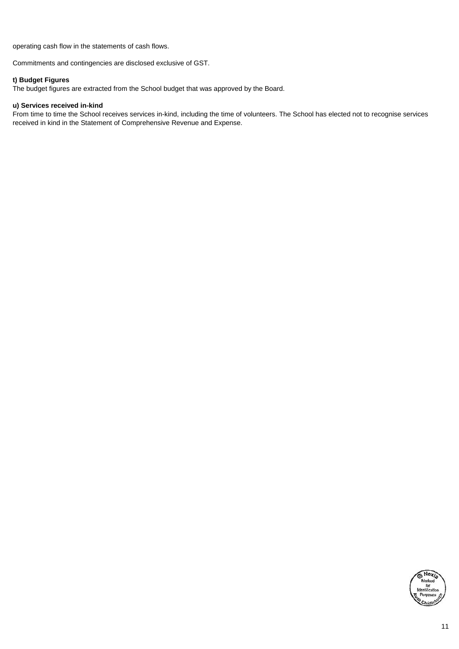operating cash flow in the statements of cash flows.

Commitments and contingencies are disclosed exclusive of GST.

#### **t) Budget Figures**

The budget figures are extracted from the School budget that was approved by the Board.

#### **u) Services received in-kind**

From time to time the School receives services in-kind, including the time of volunteers. The School has elected not to recognise services received in kind in the Statement of Comprehensive Revenue and Expense.

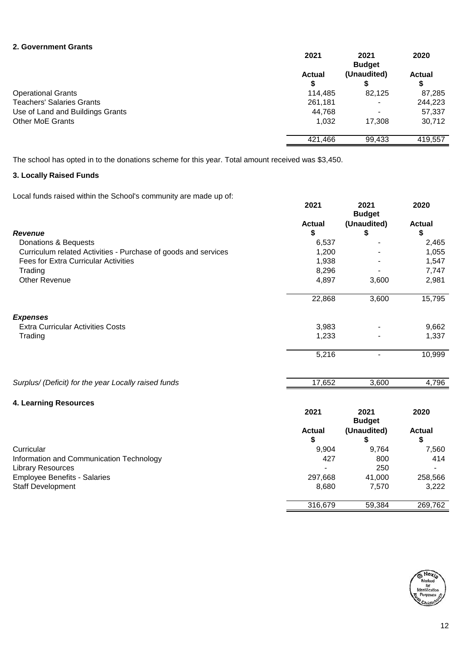#### **2. Government Grants**

|                                  | 2021          | 2021<br><b>Budget</b> | 2020          |
|----------------------------------|---------------|-----------------------|---------------|
|                                  | <b>Actual</b> | (Unaudited)           | <b>Actual</b> |
|                                  | \$            |                       | \$            |
| <b>Operational Grants</b>        | 114,485       | 82,125                | 87,285        |
| <b>Teachers' Salaries Grants</b> | 261,181       | -                     | 244,223       |
| Use of Land and Buildings Grants | 44,768        | -                     | 57,337        |
| <b>Other MoE Grants</b>          | 1,032         | 17.308                | 30,712        |
|                                  | 421,466       | 99,433                | 419,557       |

The school has opted in to the donations scheme for this year. Total amount received was \$3,450.

### **3. Locally Raised Funds**

Local funds raised within the School's community are made up of:

|                                                                | 2021          | 2021<br><b>Budget</b> | 2020          |
|----------------------------------------------------------------|---------------|-----------------------|---------------|
|                                                                | <b>Actual</b> | (Unaudited)           | <b>Actual</b> |
| <b>Revenue</b>                                                 | \$            | \$                    | \$            |
| Donations & Bequests                                           | 6,537         |                       | 2,465         |
| Curriculum related Activities - Purchase of goods and services | 1,200         |                       | 1,055         |
| <b>Fees for Extra Curricular Activities</b>                    | 1,938         |                       | 1,547         |
| Trading                                                        | 8,296         |                       | 7,747         |
| <b>Other Revenue</b>                                           | 4,897         | 3,600                 | 2,981         |
|                                                                | 22,868        | 3,600                 | 15,795        |
| <b>Expenses</b>                                                |               |                       |               |
| <b>Extra Curricular Activities Costs</b>                       | 3,983         |                       | 9,662         |
| Trading                                                        | 1,233         |                       | 1,337         |
|                                                                | 5,216         |                       | 10,999        |
| Surplus/ (Deficit) for the year Locally raised funds           | 17,652        | 3,600                 | 4,796         |
| 4. Learning Resources                                          |               |                       |               |
|                                                                | 2021          | 2021<br><b>Budget</b> | 2020          |
|                                                                | <b>Actual</b> | (Unaudited)           | <b>Actual</b> |
|                                                                | \$            | \$                    | \$            |
| Curricular                                                     | 9,904         | 9,764                 | 7,560         |
| Information and Communication Technology                       | 427           | 800                   | 414           |
| <b>Library Resources</b>                                       |               | 250                   |               |
| <b>Employee Benefits - Salaries</b>                            | 297,668       | 41,000                | 258,566       |
| <b>Staff Development</b>                                       | 8,680         | 7,570                 | 3,222         |
|                                                                | 316,679       | 59,384                | 269,762       |

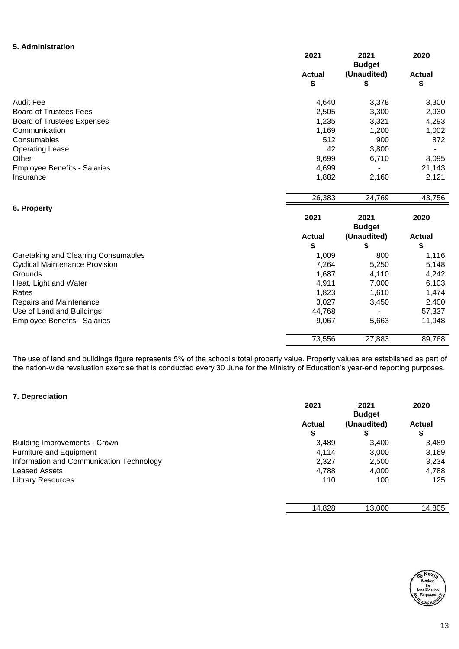#### **5. Administration**

|                                       | 2021                | 2021<br><b>Budget</b> | 2020                |
|---------------------------------------|---------------------|-----------------------|---------------------|
|                                       | <b>Actual</b><br>\$ | (Unaudited)<br>\$     | <b>Actual</b><br>\$ |
| <b>Audit Fee</b>                      | 4,640               | 3,378                 | 3,300               |
| <b>Board of Trustees Fees</b>         | 2,505               | 3,300                 | 2,930               |
| <b>Board of Trustees Expenses</b>     | 1,235               | 3,321                 | 4,293               |
| Communication                         | 1,169               | 1,200                 | 1,002               |
| Consumables                           | 512                 | 900                   | 872                 |
| <b>Operating Lease</b>                | 42                  | 3,800                 |                     |
| Other                                 | 9,699               | 6,710                 | 8,095               |
| <b>Employee Benefits - Salaries</b>   | 4,699               |                       | 21,143              |
| Insurance                             | 1,882               | 2,160                 | 2,121               |
|                                       | 26,383              | 24,769                | 43,756              |
| 6. Property                           |                     |                       |                     |
|                                       | 2021                | 2021<br><b>Budget</b> | 2020                |
|                                       | <b>Actual</b>       | (Unaudited)           | <b>Actual</b>       |
|                                       | \$                  | \$                    | \$                  |
| Caretaking and Cleaning Consumables   | 1,009               | 800                   | 1,116               |
| <b>Cyclical Maintenance Provision</b> | 7,264               | 5,250                 | 5,148               |
| Grounds                               | 1,687               | 4,110                 | 4,242               |
| Heat, Light and Water                 | 4,911               | 7,000                 | 6,103               |
| Rates                                 | 1,823               | 1,610                 | 1,474               |
| Repairs and Maintenance               | 3,027               | 3,450                 | 2,400               |
| Use of Land and Buildings             | 44,768              |                       | 57,337              |
| <b>Employee Benefits - Salaries</b>   | 9,067               | 5,663                 | 11,948              |
|                                       | 73,556              | 27,883                | 89,768              |

The use of land and buildings figure represents 5% of the school's total property value. Property values are established as part of the nation-wide revaluation exercise that is conducted every 30 June for the Ministry of Education's year-end reporting purposes.

#### **7. Depreciation**

|                                          | 2021          | 2021<br><b>Budget</b> | 2020          |
|------------------------------------------|---------------|-----------------------|---------------|
|                                          | <b>Actual</b> | (Unaudited)           | <b>Actual</b> |
|                                          |               |                       | \$            |
| <b>Building Improvements - Crown</b>     | 3.489         | 3.400                 | 3,489         |
| <b>Furniture and Equipment</b>           | 4.114         | 3.000                 | 3,169         |
| Information and Communication Technology | 2,327         | 2,500                 | 3,234         |
| <b>Leased Assets</b>                     | 4,788         | 4,000                 | 4,788         |
| <b>Library Resources</b>                 | 110           | 100                   | 125           |
|                                          |               |                       |               |

| 14.828 | 13.000 | 805<br>14. |
|--------|--------|------------|
|        |        |            |

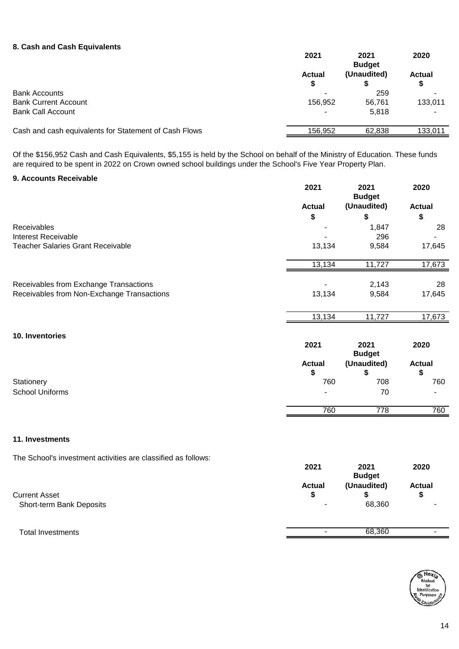#### **8. Cash and Cash Equivalents**

| 2021          | 2021<br><b>Budget</b> | 2020               |
|---------------|-----------------------|--------------------|
| <b>Actual</b> | (Unaudited)           | <b>Actual</b><br>S |
|               | 259                   |                    |
| 156,952       | 56.761                | 133,011            |
| -             | 5.818                 |                    |
| 156.952       | 62.838                | 133,011            |
|               |                       |                    |

Of the \$156,952 Cash and Cash Equivalents, \$5,155 is held by the School on behalf of the Ministry of Education. These funds are required to be spent in 2022 on Crown owned school buildings under the School's Five Year Property Plan.

#### **9. Accounts Receivable**

|                                            | 2021          | 2021<br><b>Budget</b> | 2020          |
|--------------------------------------------|---------------|-----------------------|---------------|
|                                            | <b>Actual</b> | (Unaudited)           | <b>Actual</b> |
|                                            | \$            | \$                    | \$            |
| Receivables                                |               | 1,847                 | 28            |
| <b>Interest Receivable</b>                 |               | 296                   |               |
| <b>Teacher Salaries Grant Receivable</b>   | 13,134        | 9,584                 | 17,645        |
|                                            | 13,134        | 11,727                | 17,673        |
| Receivables from Exchange Transactions     |               | 2,143                 | 28            |
| Receivables from Non-Exchange Transactions | 13,134        | 9,584                 | 17,645        |
|                                            | 13,134        | 11,727                | 17,673        |
| 10. Inventories                            |               |                       |               |
|                                            | 2021          | 2021<br><b>Budget</b> | 2020          |
|                                            | <b>Actual</b> | (Unaudited)           | <b>Actual</b> |
|                                            | \$            | \$                    | \$            |
| Stationery                                 | 760           | 708                   | 760           |
| <b>School Uniforms</b>                     |               | 70                    |               |
|                                            | 760           | 778                   | 760           |

#### **11. Investments**

The School's investment activities are classified as follows:

|                                                  | <b>Budget</b>                             |                       |                     |
|--------------------------------------------------|-------------------------------------------|-----------------------|---------------------|
| <b>Current Asset</b><br>Short-term Bank Deposits | <b>Actual</b><br>$\overline{\phantom{0}}$ | (Unaudited)<br>68,360 | <b>Actual</b><br>\$ |
| <b>Total Investments</b>                         | $\sim$                                    | 68,360                | -                   |



**2021 2021 2020**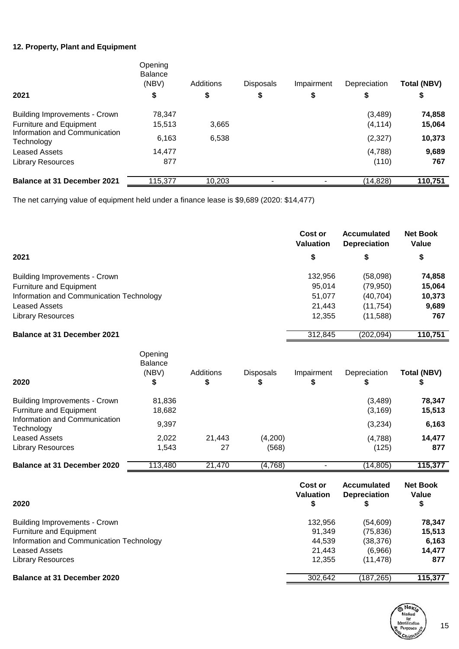### **12. Property, Plant and Equipment**

| 2021                                        | Opening<br><b>Balance</b><br>(NBV)<br>\$ | Additions<br>\$ | <b>Disposals</b><br>\$ | Impairment<br>\$ | Depreciation | <b>Total (NBV)</b><br>\$ |
|---------------------------------------------|------------------------------------------|-----------------|------------------------|------------------|--------------|--------------------------|
| <b>Building Improvements - Crown</b>        | 78,347                                   |                 |                        |                  | (3,489)      | 74,858                   |
| Furniture and Equipment                     | 15,513                                   | 3,665           |                        |                  | (4, 114)     | 15,064                   |
| Information and Communication<br>Technology | 6,163                                    | 6,538           |                        |                  | (2, 327)     | 10,373                   |
| <b>Leased Assets</b>                        | 14.477                                   |                 |                        |                  | (4,788)      | 9,689                    |
| <b>Library Resources</b>                    | 877                                      |                 |                        |                  | (110)        | 767                      |
| <b>Balance at 31 December 2021</b>          | 115.377                                  | 10.203          |                        |                  | (14, 828)    | 110,751                  |

The net carrying value of equipment held under a finance lease is \$9,689 (2020: \$14,477)

|                                                                                                                                                                 |                                          |                 |                | <b>Cost or</b><br><b>Valuation</b>              | <b>Accumulated</b><br><b>Depreciation</b>                   | <b>Net Book</b><br>Value                   |
|-----------------------------------------------------------------------------------------------------------------------------------------------------------------|------------------------------------------|-----------------|----------------|-------------------------------------------------|-------------------------------------------------------------|--------------------------------------------|
| 2021                                                                                                                                                            |                                          |                 |                | \$                                              | \$                                                          | \$                                         |
| <b>Building Improvements - Crown</b>                                                                                                                            |                                          |                 |                | 132,956                                         | (58,098)                                                    | 74,858                                     |
| <b>Furniture and Equipment</b>                                                                                                                                  |                                          |                 |                | 95,014                                          | (79, 950)                                                   | 15,064                                     |
| Information and Communication Technology                                                                                                                        |                                          |                 |                | 51,077                                          | (40, 704)                                                   | 10,373                                     |
| <b>Leased Assets</b>                                                                                                                                            |                                          |                 |                | 21,443                                          | (11, 754)                                                   | 9,689                                      |
| <b>Library Resources</b>                                                                                                                                        |                                          |                 |                | 12,355                                          | (11,588)                                                    | 767                                        |
| <b>Balance at 31 December 2021</b>                                                                                                                              |                                          |                 |                | 312,845                                         | (202, 094)                                                  | 110,751                                    |
| 2020                                                                                                                                                            | Opening<br><b>Balance</b><br>(NBV)<br>\$ | Additions<br>\$ | Disposals<br>S | Impairment<br>\$                                | Depreciation<br>\$                                          | <b>Total (NBV)</b><br>\$                   |
| <b>Building Improvements - Crown</b><br><b>Furniture and Equipment</b>                                                                                          | 81,836<br>18,682                         |                 |                |                                                 | (3,489)<br>(3, 169)                                         | 78,347<br>15,513                           |
| Information and Communication<br>Technology                                                                                                                     | 9,397                                    |                 |                |                                                 | (3,234)                                                     | 6,163                                      |
| <b>Leased Assets</b>                                                                                                                                            | 2,022                                    | 21,443          | (4,200)        |                                                 | (4,788)                                                     | 14,477                                     |
| <b>Library Resources</b>                                                                                                                                        | 1,543                                    | 27              | (568)          |                                                 | (125)                                                       | 877                                        |
| <b>Balance at 31 December 2020</b>                                                                                                                              | 113,480                                  | 21,470          | (4,768)        |                                                 | (14, 805)                                                   | 115,377                                    |
| 2020                                                                                                                                                            |                                          |                 |                | Cost or<br><b>Valuation</b><br>\$               | <b>Accumulated</b><br><b>Depreciation</b><br>\$             | <b>Net Book</b><br>Value<br>\$             |
| <b>Building Improvements - Crown</b><br>Furniture and Equipment<br>Information and Communication Technology<br><b>Leased Assets</b><br><b>Library Resources</b> |                                          |                 |                | 132,956<br>91,349<br>44,539<br>21,443<br>12,355 | (54, 609)<br>(75, 836)<br>(38, 376)<br>(6,966)<br>(11, 478) | 78,347<br>15,513<br>6,163<br>14,477<br>877 |

### **Balance at 31 December 2020** 302,642 (187,265) 115,377

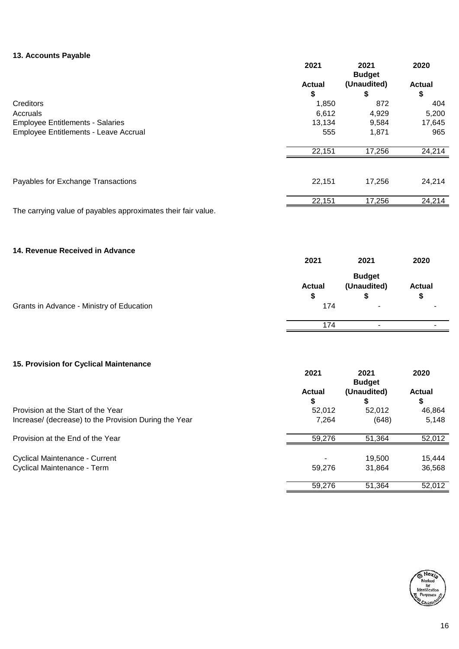#### **13. Accounts Payable**

|                                                               | 2021                | 2021<br><b>Budget</b>              | 2020                |
|---------------------------------------------------------------|---------------------|------------------------------------|---------------------|
|                                                               | <b>Actual</b>       | (Unaudited)                        | <b>Actual</b>       |
| Creditors                                                     | \$<br>1,850         | \$<br>872                          | \$<br>404           |
| Accruals                                                      | 6,612               | 4,929                              | 5,200               |
| <b>Employee Entitlements - Salaries</b>                       | 13,134              | 9,584                              | 17,645              |
| Employee Entitlements - Leave Accrual                         | 555                 | 1,871                              | 965                 |
|                                                               | 22,151              | 17,256                             | 24,214              |
|                                                               |                     |                                    |                     |
| Payables for Exchange Transactions                            | 22,151              | 17,256                             | 24,214              |
|                                                               | 22,151              | 17,256                             | 24,214              |
| The carrying value of payables approximates their fair value. |                     |                                    |                     |
| 14. Revenue Received in Advance                               |                     |                                    |                     |
|                                                               | 2021                | 2021                               | 2020                |
|                                                               | <b>Actual</b><br>\$ | <b>Budget</b><br>(Unaudited)<br>\$ | <b>Actual</b><br>\$ |
| Grants in Advance - Ministry of Education                     | 174                 |                                    |                     |
|                                                               | 174                 | $\blacksquare$                     |                     |
|                                                               |                     |                                    |                     |
| 15. Provision for Cyclical Maintenance                        | 2021                | 2021<br><b>Budget</b>              | 2020                |
|                                                               | <b>Actual</b><br>\$ | (Unaudited)<br>\$                  | <b>Actual</b><br>\$ |
| Provision at the Start of the Year                            | 52,012              | 52,012                             | 46,864              |
| Increase/ (decrease) to the Provision During the Year         | 7,264               | (648)                              | 5,148               |
| Provision at the End of the Year                              | 59,276              | 51,364                             | 52,012              |
| Cyclical Maintenance - Current                                |                     | 19,500                             | 15,444              |
| Cyclical Maintenance - Term                                   | 59,276              | 31,864                             | 36,568              |
|                                                               | 59,276              | 51,364                             | 52,012              |

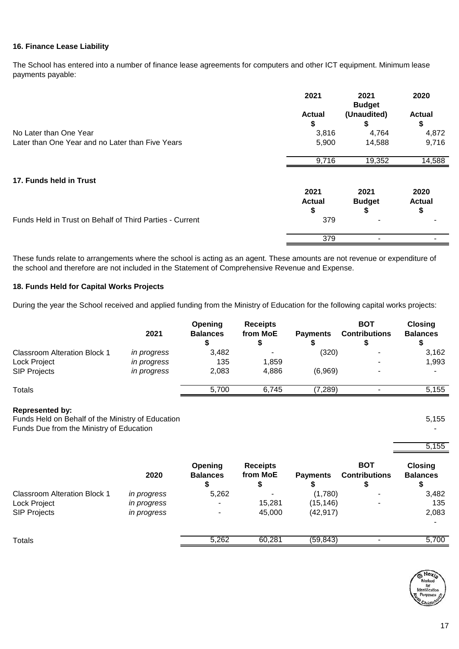#### **16. Finance Lease Liability**

The School has entered into a number of finance lease agreements for computers and other ICT equipment. Minimum lease payments payable:

|                                                          | 2021                       | 2021<br><b>Budget</b>      | 2020                        |
|----------------------------------------------------------|----------------------------|----------------------------|-----------------------------|
|                                                          | <b>Actual</b><br>S         | (Unaudited)<br>S           | <b>Actual</b><br>\$         |
| No Later than One Year                                   | 3,816                      | 4,764                      | 4,872                       |
| Later than One Year and no Later than Five Years         | 5,900                      | 14,588                     | 9,716                       |
|                                                          | 9,716                      | 19,352                     | 14,588                      |
| 17. Funds held in Trust                                  |                            |                            |                             |
|                                                          | 2021<br><b>Actual</b><br>S | 2021<br><b>Budget</b><br>S | 2020<br><b>Actual</b><br>\$ |
| Funds Held in Trust on Behalf of Third Parties - Current | 379                        |                            |                             |
|                                                          | 379                        |                            |                             |

These funds relate to arrangements where the school is acting as an agent. These amounts are not revenue or expenditure of the school and therefore are not included in the Statement of Comprehensive Revenue and Expense.

#### **18. Funds Held for Capital Works Projects**

During the year the School received and applied funding from the Ministry of Education for the following capital works projects:

|                                     | 2021        | Opening<br><b>Balances</b> | <b>Receipts</b><br>from MoE | <b>Payments</b> | <b>BOT</b><br><b>Contributions</b> | <b>Closing</b><br><b>Balances</b> |
|-------------------------------------|-------------|----------------------------|-----------------------------|-----------------|------------------------------------|-----------------------------------|
| <b>Classroom Alteration Block 1</b> | in progress | 3,482                      | ۰                           | (320)           | $\overline{\phantom{a}}$           | 3,162                             |
| Lock Project                        | in progress | 135                        | 1,859                       |                 | $\overline{\phantom{a}}$           | 1,993                             |
| <b>SIP Projects</b>                 | in progress | 2,083                      | 4.886                       | (6,969)         |                                    | $\overline{\phantom{a}}$          |
| Totals                              |             | 5.700                      | 6.745                       | (7,289)         |                                    | 5,155                             |

#### **Represented by:**

Funds Held on Behalf of the Ministry of Education 5,155 Funds Due from the Ministry of Education

|                                     | 2020               | Opening<br><b>Balances</b> | <b>Receipts</b><br>from MoE | <b>Payments</b> | <b>BOT</b><br><b>Contributions</b> | <b>Closing</b><br><b>Balances</b> |
|-------------------------------------|--------------------|----------------------------|-----------------------------|-----------------|------------------------------------|-----------------------------------|
| <b>Classroom Alteration Block 1</b> | <i>in progress</i> | 5,262                      |                             | (1,780)         |                                    | 3,482                             |
| Lock Project                        | in progress        | -                          | 15.281                      | (15, 146)       |                                    | 135                               |
| <b>SIP Projects</b>                 | <i>in progress</i> | -                          | 45,000                      | (42, 917)       |                                    | 2,083                             |
|                                     |                    |                            |                             |                 |                                    |                                   |
| Totals                              |                    | 5,262                      | 60,281                      | (59, 843)       |                                    | 5,700                             |



5,155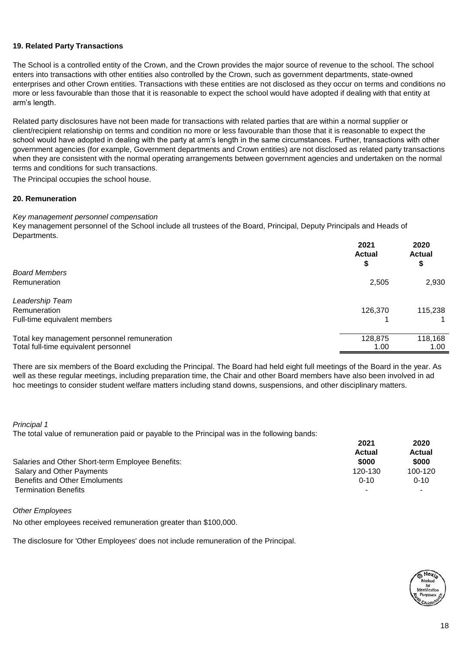#### **19. Related Party Transactions**

The School is a controlled entity of the Crown, and the Crown provides the major source of revenue to the school. The school enters into transactions with other entities also controlled by the Crown, such as government departments, state-owned enterprises and other Crown entities. Transactions with these entities are not disclosed as they occur on terms and conditions no more or less favourable than those that it is reasonable to expect the school would have adopted if dealing with that entity at arm's length.

Related party disclosures have not been made for transactions with related parties that are within a normal supplier or client/recipient relationship on terms and condition no more or less favourable than those that it is reasonable to expect the school would have adopted in dealing with the party at arm's length in the same circumstances. Further, transactions with other government agencies (for example, Government departments and Crown entities) are not disclosed as related party transactions when they are consistent with the normal operating arrangements between government agencies and undertaken on the normal terms and conditions for such transactions.

The Principal occupies the school house.

#### **20. Remuneration**

#### *Key management personnel compensation*

Key management personnel of the School include all trustees of the Board, Principal, Deputy Principals and Heads of Departments.

|                                             | 2021<br><b>Actual</b><br>S | 2020<br><b>Actual</b><br>\$ |
|---------------------------------------------|----------------------------|-----------------------------|
| <b>Board Members</b>                        |                            |                             |
| <b>Remuneration</b>                         | 2,505                      | 2,930                       |
| Leadership Team                             |                            |                             |
| <b>Remuneration</b>                         | 126,370                    | 115,238                     |
| Full-time equivalent members                |                            |                             |
| Total key management personnel remuneration | 128,875                    | 118,168                     |
| Total full-time equivalent personnel        | 1.00                       | 1.00                        |

There are six members of the Board excluding the Principal. The Board had held eight full meetings of the Board in the year. As well as these regular meetings, including preparation time, the Chair and other Board members have also been involved in ad hoc meetings to consider student welfare matters including stand downs, suspensions, and other disciplinary matters.

#### *Principal 1*

The total value of remuneration paid or payable to the Principal was in the following bands:

|                                                  | 2021          | 2020     |
|--------------------------------------------------|---------------|----------|
|                                                  | <b>Actual</b> | Actual   |
| Salaries and Other Short-term Employee Benefits: | \$000         | \$000    |
| Salary and Other Payments                        | 120-130       | 100-120  |
| <b>Benefits and Other Emoluments</b>             | $0 - 10$      | $0 - 10$ |
| <b>Termination Benefits</b>                      | -             |          |

*Other Employees*

No other employees received remuneration greater than \$100,000.

The disclosure for 'Other Employees' does not include remuneration of the Principal.

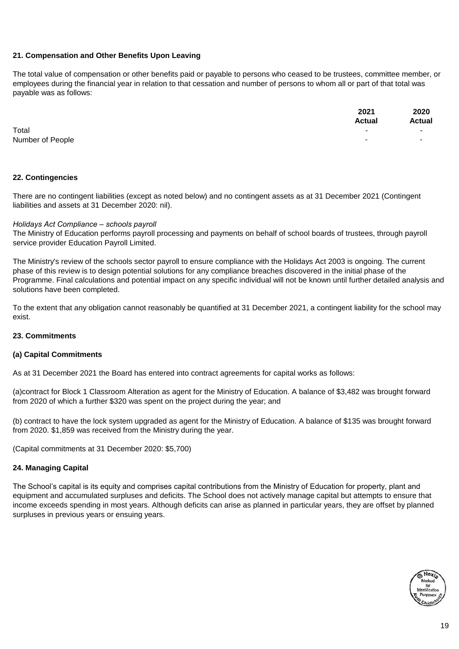#### **21. Compensation and Other Benefits Upon Leaving**

The total value of compensation or other benefits paid or payable to persons who ceased to be trustees, committee member, or employees during the financial year in relation to that cessation and number of persons to whom all or part of that total was payable was as follows:

|                  | 2021                     | 2020                     |
|------------------|--------------------------|--------------------------|
|                  | <b>Actual</b>            | <b>Actual</b>            |
| Total            | $\overline{\phantom{a}}$ | $\overline{\phantom{a}}$ |
| Number of People |                          | $\sim$                   |

#### **22. Contingencies**

There are no contingent liabilities (except as noted below) and no contingent assets as at 31 December 2021 (Contingent liabilities and assets at 31 December 2020: nil).

#### *Holidays Act Compliance – schools payroll*

The Ministry of Education performs payroll processing and payments on behalf of school boards of trustees, through payroll service provider Education Payroll Limited.

The Ministry's review of the schools sector payroll to ensure compliance with the Holidays Act 2003 is ongoing. The current phase of this review is to design potential solutions for any compliance breaches discovered in the initial phase of the Programme. Final calculations and potential impact on any specific individual will not be known until further detailed analysis and solutions have been completed.

To the extent that any obligation cannot reasonably be quantified at 31 December 2021, a contingent liability for the school may exist.

#### **23. Commitments**

#### **(a) Capital Commitments**

As at 31 December 2021 the Board has entered into contract agreements for capital works as follows:

(a)contract for Block 1 Classroom Alteration as agent for the Ministry of Education. A balance of \$3,482 was brought forward from 2020 of which a further \$320 was spent on the project during the year; and

(b) contract to have the lock system upgraded as agent for the Ministry of Education. A balance of \$135 was brought forward from 2020. \$1,859 was received from the Ministry during the year.

(Capital commitments at 31 December 2020: \$5,700)

#### **24. Managing Capital**

The School's capital is its equity and comprises capital contributions from the Ministry of Education for property, plant and equipment and accumulated surpluses and deficits. The School does not actively manage capital but attempts to ensure that income exceeds spending in most years. Although deficits can arise as planned in particular years, they are offset by planned surpluses in previous years or ensuing years.

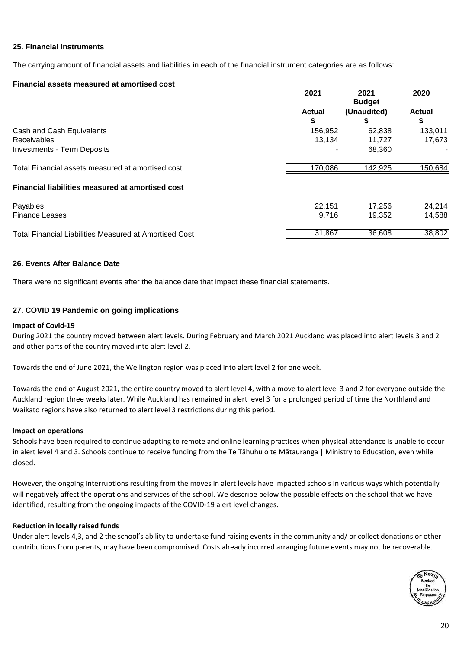#### **25. Financial Instruments**

The carrying amount of financial assets and liabilities in each of the financial instrument categories are as follows:

#### **Financial assets measured at amortised cost**

|                                                        | 2021                | 2021<br><b>Budget</b> | 2020                |
|--------------------------------------------------------|---------------------|-----------------------|---------------------|
|                                                        | <b>Actual</b><br>\$ | (Unaudited)<br>\$     | <b>Actual</b><br>\$ |
| Cash and Cash Equivalents                              | 156,952             | 62,838                | 133,011             |
| Receivables                                            | 13,134              | 11,727                | 17,673              |
| <b>Investments - Term Deposits</b>                     |                     | 68.360                |                     |
| Total Financial assets measured at amortised cost      | 170,086             | 142,925               | 150,684             |
| Financial liabilities measured at amortised cost       |                     |                       |                     |
| Payables                                               | 22.151              | 17.256                | 24,214              |
| <b>Finance Leases</b>                                  | 9,716               | 19,352                | 14,588              |
| Total Financial Liabilities Measured at Amortised Cost | 31,867              | 36,608                | 38,802              |

#### **26. Events After Balance Date**

There were no significant events after the balance date that impact these financial statements.

#### **27. COVID 19 Pandemic on going implications**

#### **Impact of Covid-19**

During 2021 the country moved between alert levels. During February and March 2021 Auckland was placed into alert levels 3 and 2 and other parts of the country moved into alert level 2.

Towards the end of June 2021, the Wellington region was placed into alert level 2 for one week.

Towards the end of August 2021, the entire country moved to alert level 4, with a move to alert level 3 and 2 for everyone outside the Auckland region three weeks later. While Auckland has remained in alert level 3 for a prolonged period of time the Northland and Waikato regions have also returned to alert level 3 restrictions during this period.

#### **Impact on operations**

Schools have been required to continue adapting to remote and online learning practices when physical attendance is unable to occur in alert level 4 and 3. Schools continue to receive funding from the Te Tāhuhu o te Mātauranga | Ministry to Education, even while closed.

However, the ongoing interruptions resulting from the moves in alert levels have impacted schools in various ways which potentially will negatively affect the operations and services of the school. We describe below the possible effects on the school that we have identified, resulting from the ongoing impacts of the COVID-19 alert level changes.

#### **Reduction in locally raised funds**

Under alert levels 4,3, and 2 the school's ability to undertake fund raising events in the community and/ or collect donations or other contributions from parents, may have been compromised. Costs already incurred arranging future events may not be recoverable.

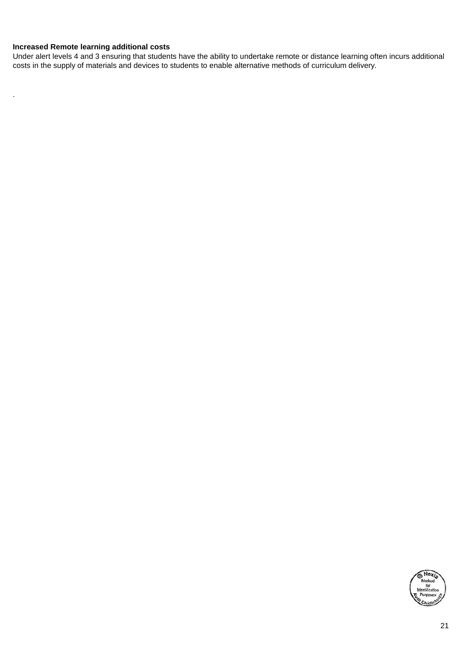#### **Increased Remote learning additional costs**

.

Under alert levels 4 and 3 ensuring that students have the ability to undertake remote or distance learning often incurs additional costs in the supply of materials and devices to students to enable alternative methods of curriculum delivery.

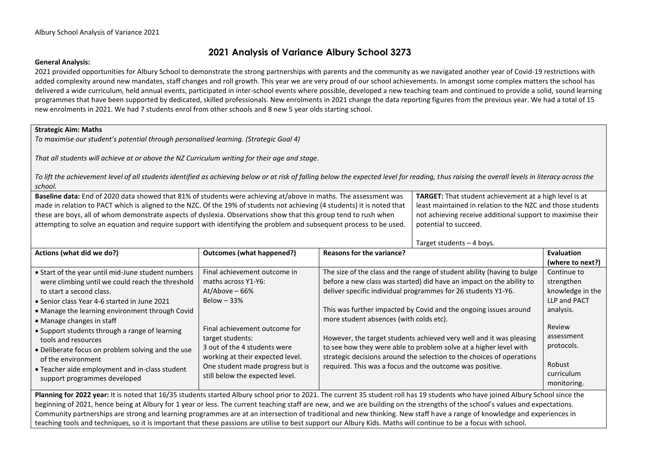### **2021 Analysis of Variance Albury School 3273**

#### **General Analysis:**

2021 provided opportunities for Albury School to demonstrate the strong partnerships with parents and the community as we navigated another year of Covid-19 restrictions with added complexity around new mandates, staff changes and roll growth. This year we are very proud of our school achievements. In amongst some complex matters the school has delivered a wide curriculum, held annual events, participated in inter-school events where possible, developed a new teaching team and continued to provide a solid, sound learning programmes that have been supported by dedicated, skilled professionals. New enrolments in 2021 change the data reporting figures from the previous year. We had a total of 15 new enrolments in 2021. We had 7 students enrol from other schools and 8 new 5 year olds starting school.

#### **Strategic Aim: Maths**

*To maximise our student's potential through personalised learning. (Strategic Goal 4)*

*That all students will achieve at or above the NZ Curriculum writing for their age and stage.*

*To lift the achievement level of all students identified as achieving below or at risk of falling below the expected level for reading, thus raising the overall levels in literacy across the school.* 

| Baseline data: End of 2020 data showed that 81% of students were achieving at/above in maths. The assessment was         | <b>TARGET:</b> That student achievement at a high level is at |
|--------------------------------------------------------------------------------------------------------------------------|---------------------------------------------------------------|
| made in relation to PACT which is aligned to the NZC. Of the 19% of students not achieving (4 students) it is noted that | least maintained in relation to the NZC and those students    |
| these are boys, all of whom demonstrate aspects of dyslexia. Observations show that this group tend to rush when         | not achieving receive additional support to maximise their    |
| attempting to solve an equation and require support with identifying the problem and subsequent process to be used.      | potential to succeed.                                         |

| Target students $-4$ boys. |  |
|----------------------------|--|
|----------------------------|--|

| Actions (what did we do?)                                                                                                                                                                                                                                                                                                                                                                                                                                                                                | Outcomes (what happened?)                                                                                                                                                                                                                                                              | Reasons for the variance?                                                                                                                                                                                                                                                                                                                                                                                                                                                                                                                                                                                        | <b>Evaluation</b>                                                                                                                                       |  |  |
|----------------------------------------------------------------------------------------------------------------------------------------------------------------------------------------------------------------------------------------------------------------------------------------------------------------------------------------------------------------------------------------------------------------------------------------------------------------------------------------------------------|----------------------------------------------------------------------------------------------------------------------------------------------------------------------------------------------------------------------------------------------------------------------------------------|------------------------------------------------------------------------------------------------------------------------------------------------------------------------------------------------------------------------------------------------------------------------------------------------------------------------------------------------------------------------------------------------------------------------------------------------------------------------------------------------------------------------------------------------------------------------------------------------------------------|---------------------------------------------------------------------------------------------------------------------------------------------------------|--|--|
|                                                                                                                                                                                                                                                                                                                                                                                                                                                                                                          |                                                                                                                                                                                                                                                                                        |                                                                                                                                                                                                                                                                                                                                                                                                                                                                                                                                                                                                                  | (where to next?)                                                                                                                                        |  |  |
| • Start of the year until mid-June student numbers<br>were climbing until we could reach the threshold<br>to start a second class.<br>• Senior class Year 4-6 started in June 2021<br>• Manage the learning environment through Covid<br>• Manage changes in staff<br>• Support students through a range of learning<br>tools and resources<br>• Deliberate focus on problem solving and the use<br>of the environment<br>• Teacher aide employment and in-class student<br>support programmes developed | Final achievement outcome in<br>maths across Y1-Y6:<br>At/Above $-66%$<br>Below $-33%$<br>Final achievement outcome for<br>target students:<br>3 out of the 4 students were<br>working at their expected level.<br>One student made progress but is<br>still below the expected level. | The size of the class and the range of student ability (having to bulge<br>before a new class was started) did have an impact on the ability to<br>deliver specific individual programmes for 26 students Y1-Y6.<br>This was further impacted by Covid and the ongoing issues around<br>more student absences (with colds etc).<br>However, the target students achieved very well and it was pleasing<br>to see how they were able to problem solve at a higher level with<br>strategic decisions around the selection to the choices of operations<br>required. This was a focus and the outcome was positive. | Continue to<br>strengthen<br>knowledge in the<br>LLP and PACT<br>analysis.<br>Review<br>assessment<br>protocols.<br>Robust<br>curriculum<br>monitoring. |  |  |
| Planning for 2022 year: It is noted that 16/35 students started Albury school prior to 2021. The current 35 student roll has 19 students who have joined Albury School since the<br>boginning of 2021, hance being at Album for 1 year or loss. The surrent together staff are now and we are building on the strengths of the school's values and evpectations                                                                                                                                          |                                                                                                                                                                                                                                                                                        |                                                                                                                                                                                                                                                                                                                                                                                                                                                                                                                                                                                                                  |                                                                                                                                                         |  |  |

beginning of 2021, hence being at Albury for 1 year or less. The current teaching staff are new, and we are building on the strengths of the school's values and expectations. Community partnerships are strong and learning programmes are at an intersection of traditional and new thinking. New staff have a range of knowledge and experiences in teaching tools and techniques, so it is important that these passions are utilise to best support our Albury Kids. Maths will continue to be a focus with school.